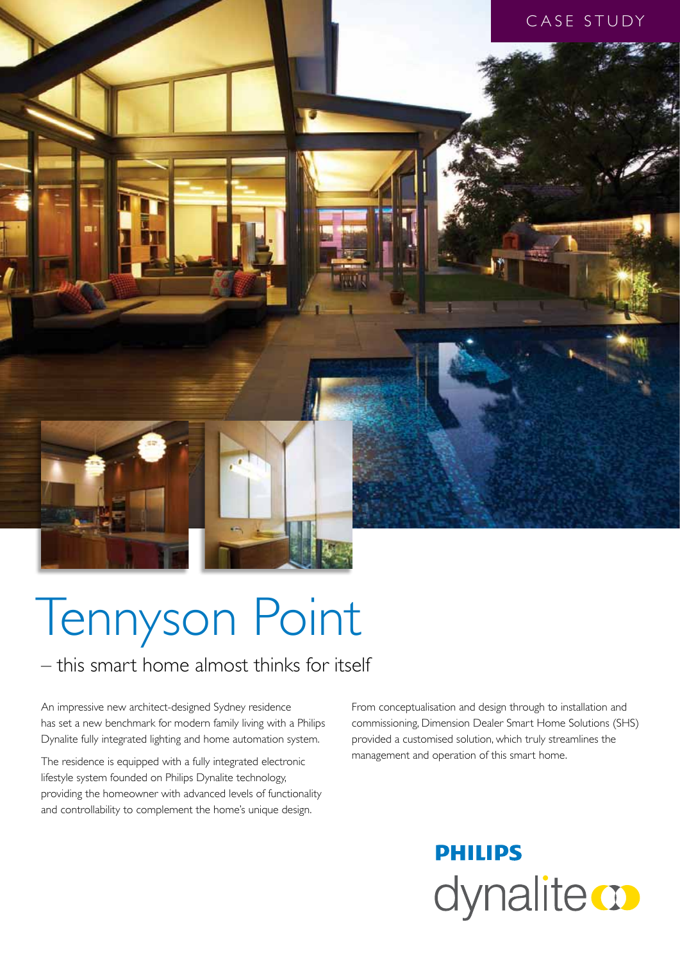

# Tennyson Point

### – this smart home almost thinks for itself

An impressive new architect-designed Sydney residence has set a new benchmark for modern family living with a Philips Dynalite fully integrated lighting and home automation system.

The residence is equipped with a fully integrated electronic lifestyle system founded on Philips Dynalite technology, providing the homeowner with advanced levels of functionality and controllability to complement the home's unique design.

From conceptualisation and design through to installation and commissioning, Dimension Dealer Smart Home Solutions (SHS) provided a customised solution, which truly streamlines the management and operation of this smart home.

## **PHILIPS** dynalite **o**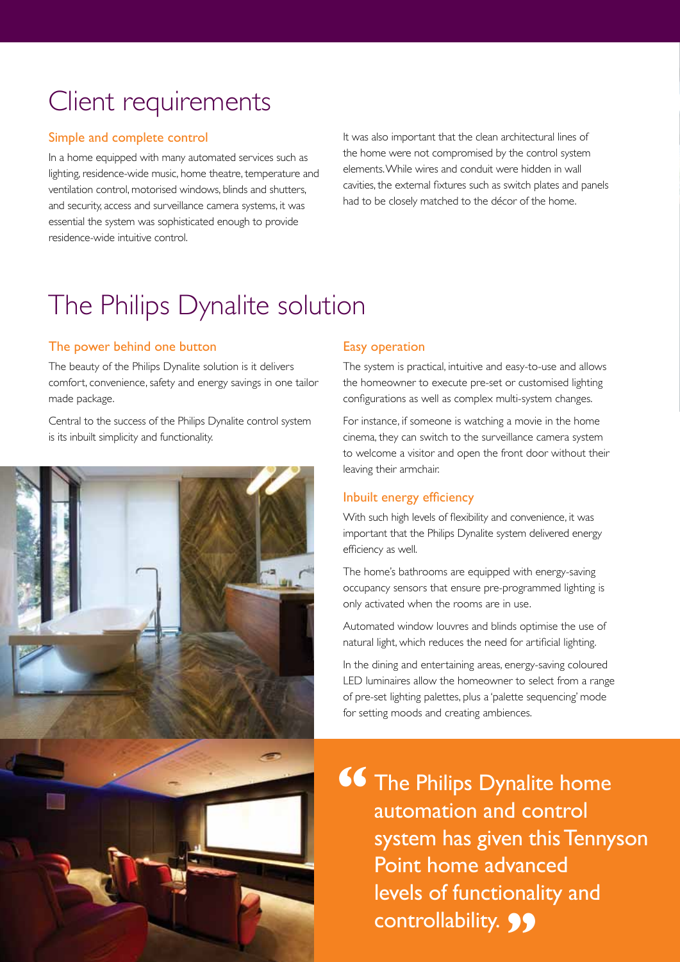### Client requirements

### Simple and complete control

In a home equipped with many automated services such as lighting, residence-wide music, home theatre, temperature and ventilation control, motorised windows, blinds and shutters, and security, access and surveillance camera systems, it was essential the system was sophisticated enough to provide residence-wide intuitive control.

It was also important that the clean architectural lines of the home were not compromised by the control system elements. While wires and conduit were hidden in wall cavities, the external fixtures such as switch plates and panels had to be closely matched to the décor of the home.

### The Philips Dynalite solution

### The power behind one button

The beauty of the Philips Dynalite solution is it delivers comfort, convenience, safety and energy savings in one tailor made package.

Central to the success of the Philips Dynalite control system is its inbuilt simplicity and functionality.



### Easy operation

The system is practical, intuitive and easy-to-use and allows the homeowner to execute pre-set or customised lighting configurations as well as complex multi-system changes.

For instance, if someone is watching a movie in the home cinema, they can switch to the surveillance camera system to welcome a visitor and open the front door without their leaving their armchair.

### Inbuilt energy efficiency

With such high levels of flexibility and convenience, it was important that the Philips Dynalite system delivered energy efficiency as well.

The home's bathrooms are equipped with energy-saving occupancy sensors that ensure pre-programmed lighting is only activated when the rooms are in use.

Automated window louvres and blinds optimise the use of natural light, which reduces the need for artificial lighting.

In the dining and entertaining areas, energy-saving coloured LED luminaires allow the homeowner to select from a range of pre-set lighting palettes, plus a 'palette sequencing' mode for setting moods and creating ambiences.

The Philips Dynalite home automation and control system has given this Tennyson Point home advanced levels of functionality and controllability. **99 "**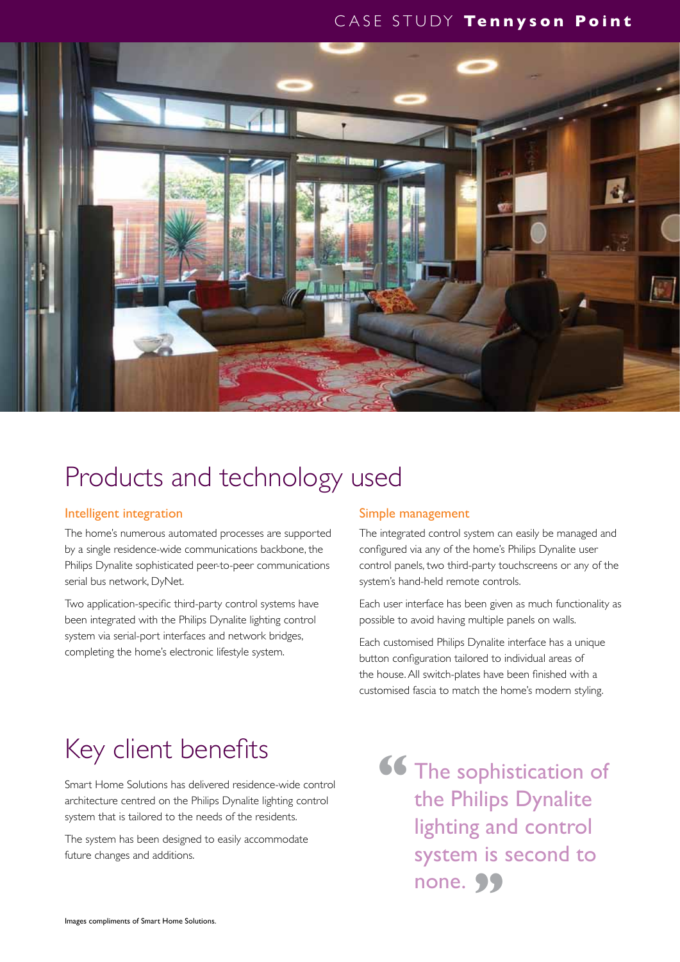### CASE STUDY **Tennyson Point**



### Products and technology used

### Intelligent integration

The home's numerous automated processes are supported by a single residence-wide communications backbone, the Philips Dynalite sophisticated peer-to-peer communications serial bus network, DyNet.

Two application-specific third-party control systems have been integrated with the Philips Dynalite lighting control system via serial-port interfaces and network bridges, completing the home's electronic lifestyle system.

### Simple management

The integrated control system can easily be managed and configured via any of the home's Philips Dynalite user control panels, two third-party touchscreens or any of the system's hand-held remote controls.

Each user interface has been given as much functionality as possible to avoid having multiple panels on walls.

Each customised Philips Dynalite interface has a unique button configuration tailored to individual areas of the house. All switch-plates have been finished with a customised fascia to match the home's modern styling.

### Key client benefits

Smart Home Solutions has delivered residence-wide control architecture centred on the Philips Dynalite lighting control system that is tailored to the needs of the residents.

The system has been designed to easily accommodate future changes and additions.

The sophistication of the Philips Dynalite lighting and control system is second to none. 99 **"**